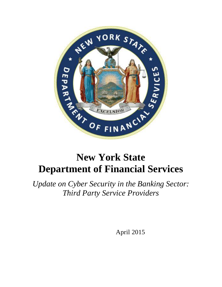

# **New York State Department of Financial Services**

*Update on Cyber Security in the Banking Sector: Third Party Service Providers*

April 2015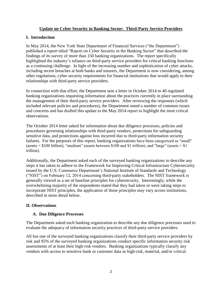# **Update on Cyber Security in Banking Sector: Third-Party Service Providers**

# **I. Introduction**

In May 2014, the New York State Department of Financial Services ("the Department") published a report titled "Report on Cyber Security in the Banking Sector" that described the findings of its survey of more than 150 banking organizations. The report specifically highlighted the industry's reliance on third-party service providers for critical banking functions as a continuing challenge. In light of the increasing number and sophistication of cyber attacks, including recent breaches at both banks and insurers, the Department is now considering, among other regulations, cyber security requirements for financial institutions that would apply to their relationships with third-party service providers.

In connection with that effort, the Department sent a letter in October 2014 to 40 regulated banking organizations requesting information about the practices currently in place surrounding the management of their third-party service providers. After reviewing the responses (which included relevant policies and procedures), the Department noted a number of common issues and concerns and has drafted this update to the May 2014 report to highlight the most critical observations.

The October 2014 letter asked for information about due diligence processes, policies and procedures governing relationships with third-party vendors, protections for safeguarding sensitive data, and protections against loss incurred due to third-party information security failures. For the purposes of this report, banking organizations have been categorized as "small" (assets  $\langle$  \$100 billion), "medium" (assets between \$100 and \$1 trillion), and "large" (assets  $>$  \$1 trillion).

Additionally, the Department asked each of the surveyed banking organizations to describe any steps it has taken to adhere to the Framework for Improving Critical Infrastructure Cybersecurity issued by the U.S. Commerce Department's National Institute of Standards and Technology ("NIST") on February 12, 2014 concerning third-party stakeholders. The NIST framework is generally viewed as a set of baseline principles for cybersecurity. Interestingly, while the overwhelming majority of the respondents stated that they had taken or were taking steps to incorporate NIST principles, the application of those principles may vary across institutions, described in more detail below.

### **II. Observations**

### **A. Due Diligence Processes**

The Department asked each banking organization to describe any due diligence processes used to evaluate the adequacy of information security practices of third-party service providers.

All but one of the surveyed banking organizations classify their third-party service providers by risk and 95% of the surveyed banking organizations conduct specific information security risk assessments of at least their high-risk vendors. Banking organizations typically classify any vendors with access to sensitive bank or customer data as high-risk, material, and/or critical.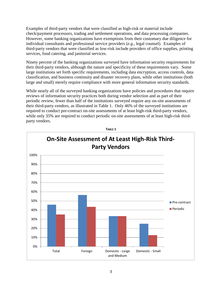Examples of third-party vendors that were classified as high-risk or material include check/payment processors, trading and settlement operations, and data processing companies. However, some banking organizations have exemptions from their customary due diligence for individual consultants and professional service providers (*e.g.*, legal counsel). Examples of third-party vendors that were classified as low-risk include providers of office supplies, printing services, food catering, and janitorial services.

Ninety percent of the banking organizations surveyed have information security requirements for their third-party vendors, although the nature and specificity of these requirements vary. Some large institutions set forth specific requirements, including data encryption, access controls, data classification, and business continuity and disaster recovery plans, while other institutions (both large and small) merely require compliance with more general information security standards.

While nearly all of the surveyed banking organizations have policies and procedures that require reviews of information security practices both during vendor selection and as part of their periodic review, fewer than half of the institutions surveyed require any on-site assessments of their third-party vendors, as illustrated in Table 1. Only 46% of the surveyed institutions are required to conduct pre-contract on-site assessments of at least high-risk third-party vendors, while only 35% are required to conduct periodic on-site assessments of at least high-risk thirdparty vendors.



**TABLE 1**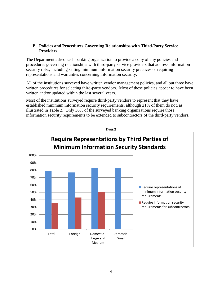### **B. Policies and Procedures Governing Relationships with Third-Party Service Providers**

The Department asked each banking organization to provide a copy of any policies and procedures governing relationships with third-party service providers that address information security risks, including setting minimum information security practices or requiring representations and warranties concerning information security.

All of the institutions surveyed have written vendor management policies, and all but three have written procedures for selecting third-party vendors. Most of these policies appear to have been written and/or updated within the last several years.

Most of the institutions surveyed require third-party vendors to represent that they have established minimum information security requirements, although 21% of them do not, as illustrated in Table 2. Only 36% of the surveyed banking organizations require those information security requirements to be extended to subcontractors of the third-party vendors.

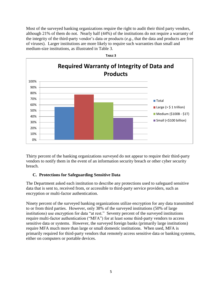Most of the surveyed banking organizations require the right to audit their third party vendors, although 21% of them do not. Nearly half (44%) of the institutions do not require a warranty of the integrity of the third-party vendor's data or products (*e.g.*, that the data and products are free of viruses). Larger institutions are more likely to require such warranties than small and medium-size institutions, as illustrated in Table 3.



Thirty percent of the banking organizations surveyed do not appear to require their third-party vendors to notify them in the event of an information security breach or other cyber security breach.

### **C. Protections for Safeguarding Sensitive Data**

The Department asked each institution to describe any protections used to safeguard sensitive data that is sent to, received from, or accessible to third-party service providers, such as encryption or multi-factor authentication.

Ninety percent of the surveyed banking organizations utilize encryption for any data transmitted to or from third parties. However, only 38% of the surveyed institutions (50% of large institutions) use encryption for data "at rest." Seventy percent of the surveyed institutions require multi-factor authentication ("MFA") for at least some third-party vendors to access sensitive data or systems. However, the surveyed foreign banks (primarily large institutions) require MFA much more than large or small domestic institutions. When used, MFA is primarily required for third-party vendors that remotely access sensitive data or banking systems, either on computers or portable devices.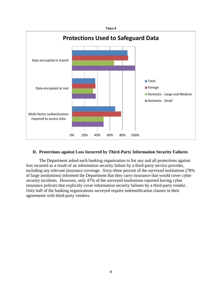

#### **D. Protections against Loss Incurred by Third-Party Information Security Failures**

The Department asked each banking organization to list any and all protections against loss incurred as a result of an information security failure by a third-party service provider, including any relevant insurance coverage. Sixty-three percent of the surveyed institutions (78% of large institutions) informed the Department that they carry insurance that would cover cyber security incidents. However, only 47% of the surveyed institutions reported having cyber insurance policies that explicitly cover information security failures by a third-party vendor. Only half of the banking organizations surveyed require indemnification clauses in their agreements with third-party vendors.